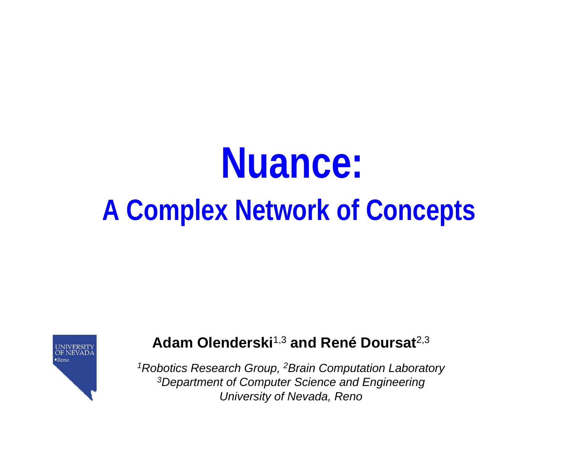UNIVERSITY<br>OF NEVAD  $\bullet$ Reno

#### **Adam Olenderski**1,3 **and René Doursat**2,3

*1Robotics Research Group, 2Brain Computation Laboratory 3Department of Computer Science and Engineering University of Nevada, Reno*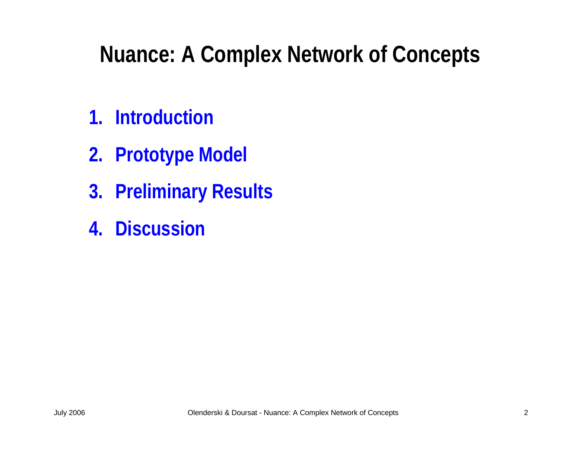- **1. Introduction**
- **2. Prototype Model**
- **3. Preliminary Results**
- **4. Discussion**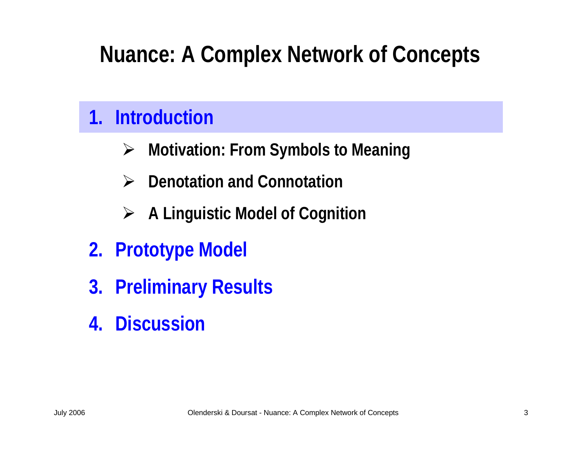### **1. Introduction**

- ¾**Motivation: From Symbols to Meaning**
- $\blacktriangleright$ **Denotation and Connotation**
- ¾**A Linguistic Model of Cognition**
- **2. Prototype Model**
- **3. Preliminary Results**
- **4. Discussion**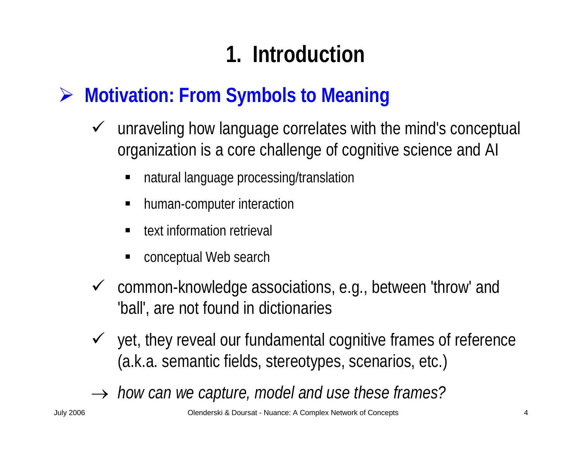## **1. Introduction**

### ¾ **Motivation: From Symbols to Meaning**

- $\sqrt{ }$  unraveling how language correlates with the mind's conceptual organization is a core challenge of cognitive science and AI
	- ٠ natural language processing/translation
	- ٠ human-computer interaction
	- ٠ text information retrieval
	- ٠ conceptual Web search
- $\checkmark$  common-knowledge associations, e.g., between 'throw' and 'ball', are not found in dictionaries
- $\checkmark$  yet, they reveal our fundamental cognitive frames of reference (a.k.a. semantic fields, stereotypes, scenarios, etc.)
- → *how can we capture, model and use these frames?*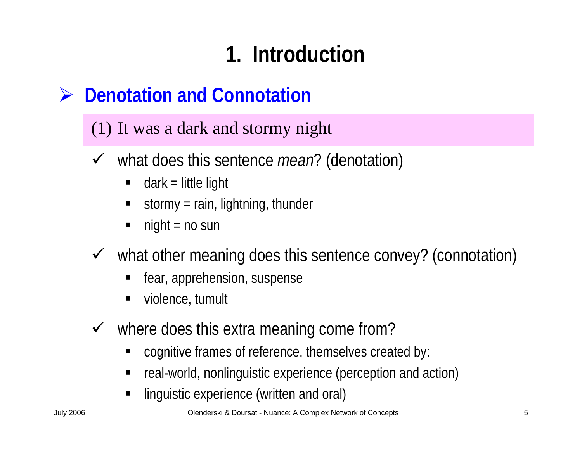## **1. Introduction**

#### ¾**Denotation and Connotation**

#### (1) It was a dark and storm y night

- $\checkmark$  what does this sentence *mean*? (denotation)
	- ٠ dark = little light
	- ٠ stormy = rain, lightning, thunder
	- $night = no sun$
- $\checkmark$  what other meaning does this sentence convey? (connotation)
	- ٠ fear, apprehension, suspense
	- $\blacksquare$ violence, tumult
- $\checkmark$  where does this extra meaning come from?
	- cognitive frames of reference, themselves created by:
	- ٠ real-world, nonlinguistic experience (perception and action)
	- ٠ linguistic experience (written and oral)

July 2006 Olenderski & Doursat - Nuance: A Complex Network of Concepts 5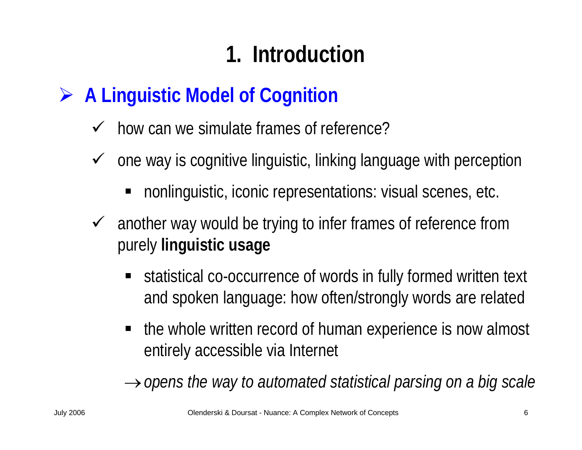## **1. Introduction**

#### ¾**A Linguistic Model of Cognition**

- $\checkmark$ how can we simulate frames of reference?
- $\checkmark$  one way is cognitive linguistic, linking language with perception
	- **nonlinguistic, iconic representations: visual scenes, etc.**
- $\sqrt{ }$  another way would be trying to infer frames of reference from purely **linguistic usage**
	- statistical co-occurrence of words in fully formed written text and spoken language: how often/strongly words are related
	- the whole written record of human experience is now almost entirely accessible via Internet

→*opens the way to automated statistical parsing on a big scale*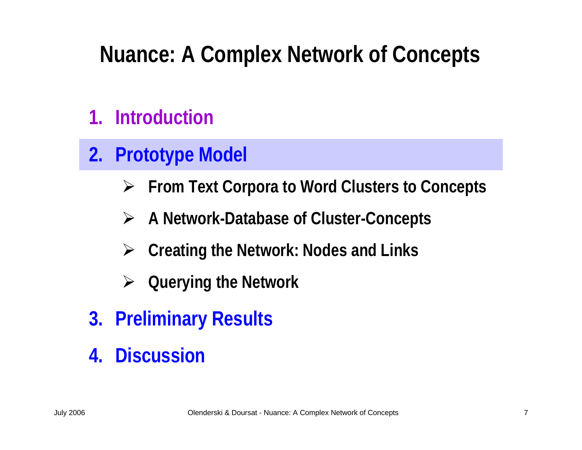### **1. Introduction**

#### **2.Prototype Model**

- ¾**From Text Corpora to Word Clusters to Concepts**
- ¾**A Network-Database of Cluster-Concepts**
- ¾**Creating the Network: Nodes and Links**
- ¾**Querying the Network**
- **3. Preliminary Results**
- **4. Discussion**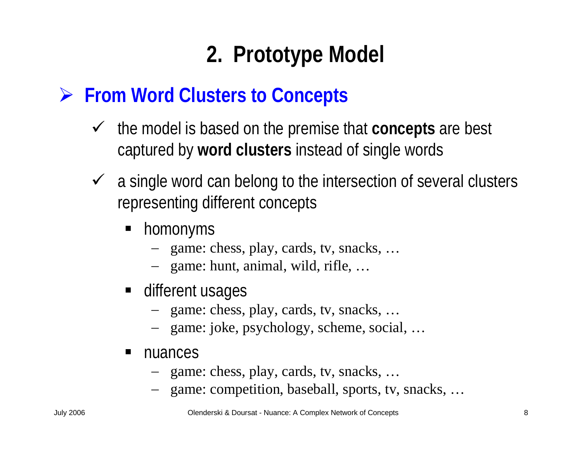### ¾ **From Word Clusters to Concepts**

- $\checkmark$  the model is based on the premise that **concepts** are best captured by **word clusters** instead of single words
- $\checkmark$  a single word can belong to the intersection of several clusters representing different concepts
	- homonyms
		- − game: chess, play, cards, tv, snacks, …
		- − game: hunt, animal, wild, rifle, …
	- **different usages** 
		- − game: chess, play, cards, tv, snacks, …
		- − game: joke, psy chology, scheme, social, …
	- $\blacksquare$  nuances
		- − game: chess, play, cards, tv, snacks, …
		- − game: competition, baseball, sports, tv, snacks, …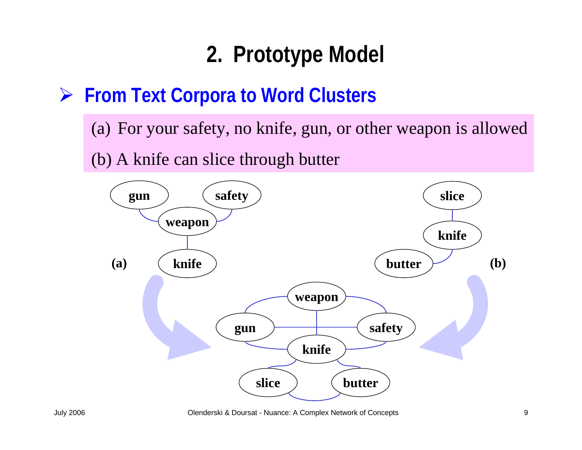### ¾ **From Text Corpora to Word Clusters**

(a) For your safety, no knife, gun, or other weapon is allowed

(b) A knife can slice through butter



July 2006 Olenderski & Doursat - Nuance: A Complex Network of Concepts 9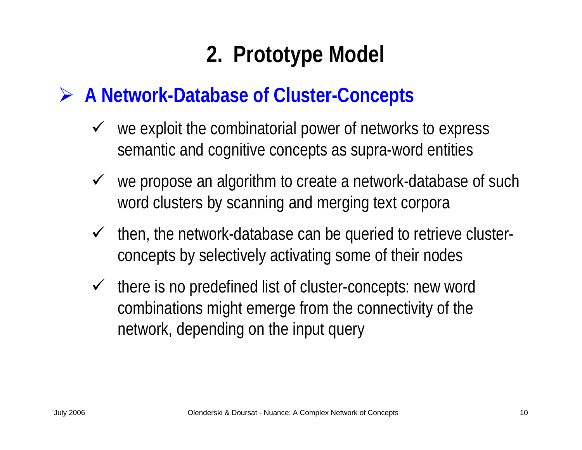### ¾ **A Network-Database of Cluster-Concepts**

- $\checkmark$  we exploit the combinatorial power of networks to express semantic and cognitive concepts as supra-word entities
- $\checkmark$  we propose an algorithm to create a network-database of such word clusters by scanning and merging text corpora
- $\sqrt{ }$  then, the network-database can be queried to retrieve clusterconcepts by selectively activating some of their nodes
- $\sqrt{ }$  there is no predefined list of cluster-concepts: new word combinations might emerge from the connectivity of the network, depending on the input query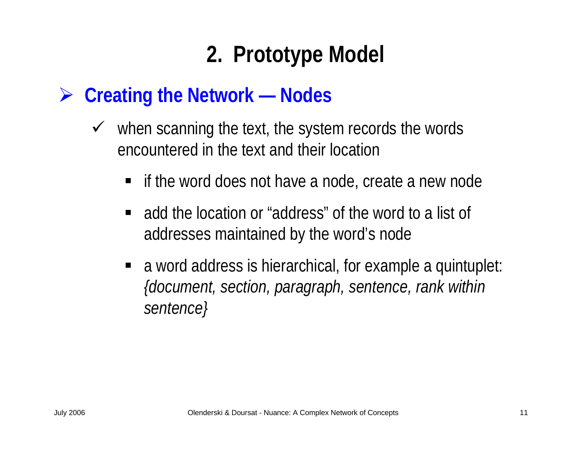### ¾ **Creating the Network — Nodes**

- $\sqrt{ }$  when scanning the text, the system records the words encountered in the text and their location
	- if the word does not have a node, create a new node
	- **•** add the location or "address" of the word to a list of addresses maintained by the word's node
	- a word address is hierarchical, for example a quintuplet: *{document, section, paragraph, sentence, rank within sentence}*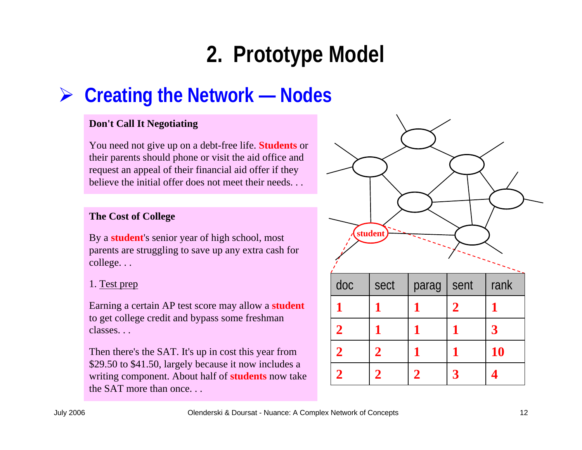### ¾ **Creating the Network — Nodes**

#### **Don't Call It Negotiating**

You need not give up on a debt-free life. **Students** or their parents should phone or visit the aid office and request an appeal of their financial aid offer if they believe the initial offer does not meet their needs. . .

#### **The Cost of College**

By a **student**'s senior year of high school, most parents are struggling to save up any extra cash for college. . .

#### 1. Test prep

Earning a certain AP test score may allow a **student** to get college credit and bypass some freshman classes. . .

Then there's the SAT. It's up in cost this year from \$29.50 to \$41.50, largely because it now includes a writing component. About half of **students** now take the SAT more than once. . .

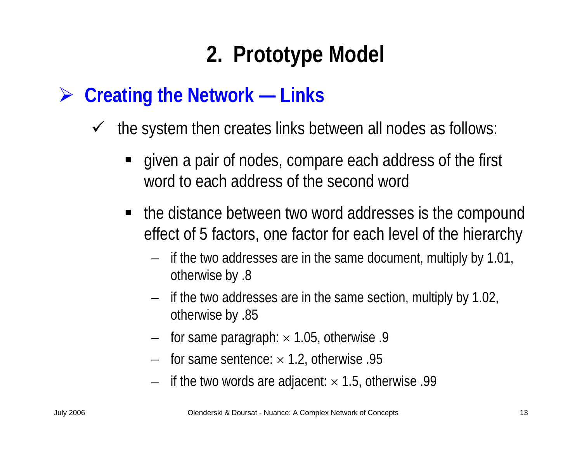### ¾ **Creating the Network — Links**

- $\sqrt{ }$  the system then creates links between all nodes as follows:
	- given a pair of nodes, compare each address of the first word to each address of the second word
	- the distance between two word addresses is the compound effect of 5 factors, one factor for each level of the hierarchy
		- $-$  if the two addresses are in the same document, multiply by 1.01, otherwise by .8
		- $-$  if the two addresses are in the same section, multiply by 1.02, otherwise by .85
		- for same paragraph: × 1.05, otherwise .9
		- − for same sentence: × 1.2, otherwise .95
		- − $-$  if the two words are adjacent:  $\times$  1.5, otherwise .99  $\,$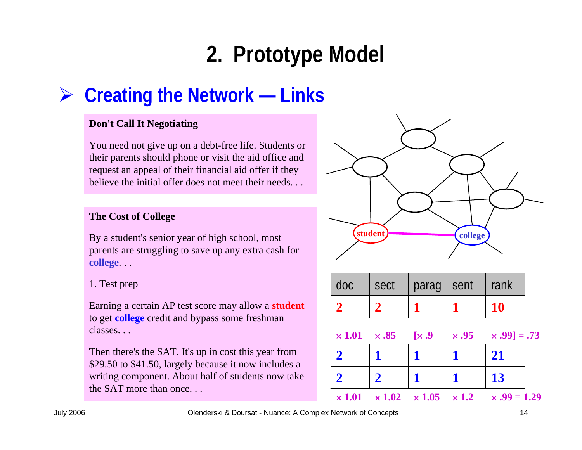### ¾ **Creating the Network — Links**

#### **Don't Call It Negotiating**

You need not give up on a debt-free life. Students or their parents should phone or visit the aid office and request an appeal of their financial aid offer if they believe the initial offer does not meet their needs. . .

#### **The Cost of College**

By a student's senior year of high school, most parents are struggling to save up any extra cash for **college**. . .

#### 1. Test prep

Earning a certain AP test score may allow a **student** to get **college** credit and bypass some freshman classes. . .

Then there's the SAT. It's up in cost this year from \$29.50 to \$41.50, largely because it now includes a writing component. About half of students now take the SAT more than once. . .



| doc | sect | parag   sent | I rank |
|-----|------|--------------|--------|
|     |      |              |        |

|  |  | $\times 1.01 \times .85 \quad [\times .9 \times .95 \times .99] = .73$ |
|--|--|------------------------------------------------------------------------|
|  |  | 21                                                                     |
|  |  | 13                                                                     |
|  |  | $\times 1.01 \times 1.02 \times 1.05 \times 1.2 \times .99 = 1.29$     |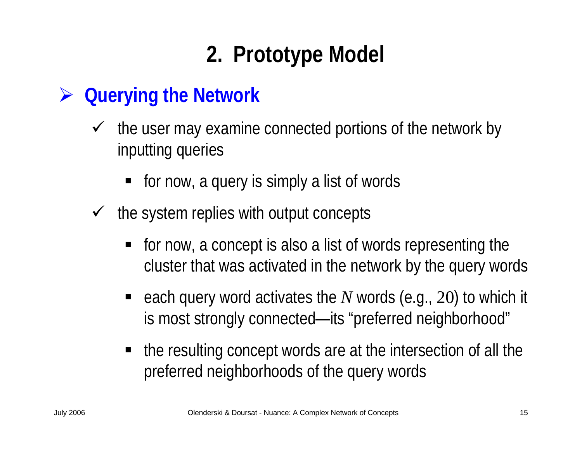### ¾ **Querying the Network**

- $\sqrt{ }$  the user may examine connected portions of the network by inputting queries
	- for now, a query is simply a list of words
- $\sqrt{ }$  the system replies with output concepts
	- for now, a concept is also a list of words representing the cluster that was activated in the network by the query words
	- each query word activates the N words (e.g., 20) to which it is most strongly connected—its "preferred neighborhood"
	- the resulting concept words are at the intersection of all the preferred neighborhoods of the query words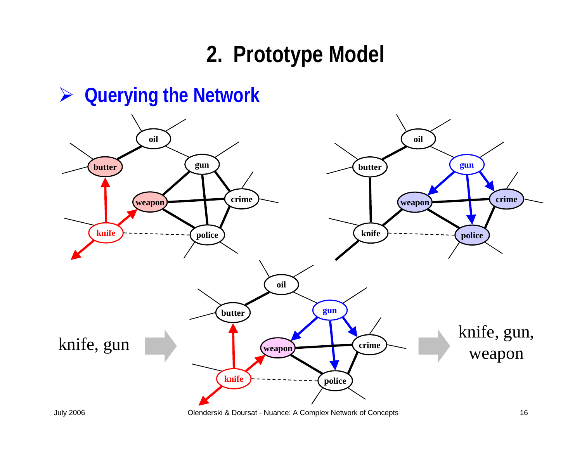



July 2006 Olenderski & Doursat - Nuance: A Complex Network of Concepts 16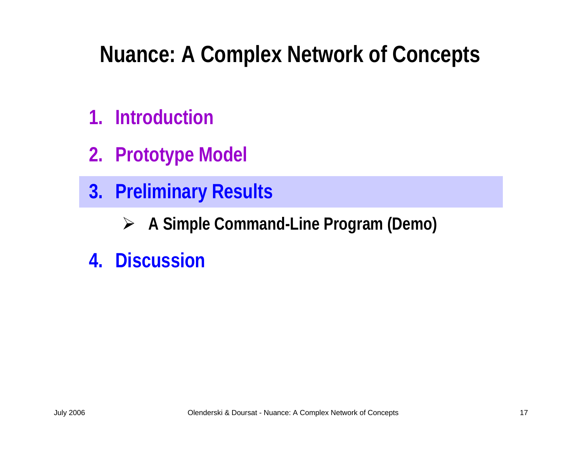- **1. Introduction**
- **2. Prototype Model**
- **3. Preliminary Results**
	- ¾**A Simple Command-Line Program (Demo)**
- **4. Discussion**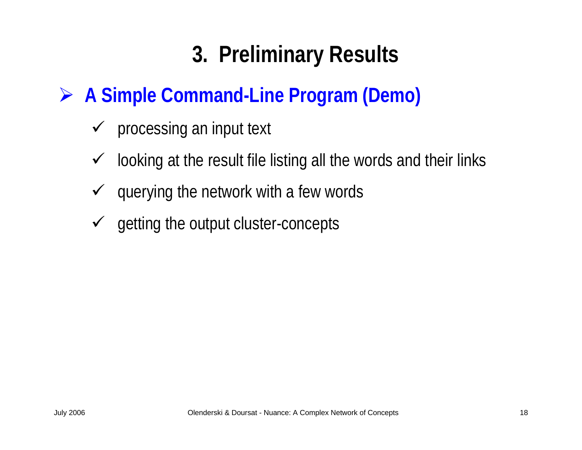## **3. Preliminary Results**

### ¾ **A Simple Command-Line Program (Demo)**

- $\checkmark$  processing an input text
- $\checkmark$ looking at the result file listing all the words and their links
- $\checkmark$ querying the network with a few words
- $\checkmark$  getting the output cluster-concepts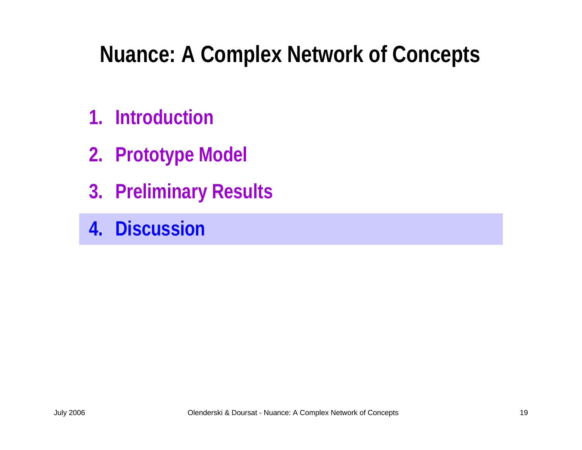- **1. Introduction**
- **2. Prototype Model**
- **3. Preliminary Results**
- **4. Discussion**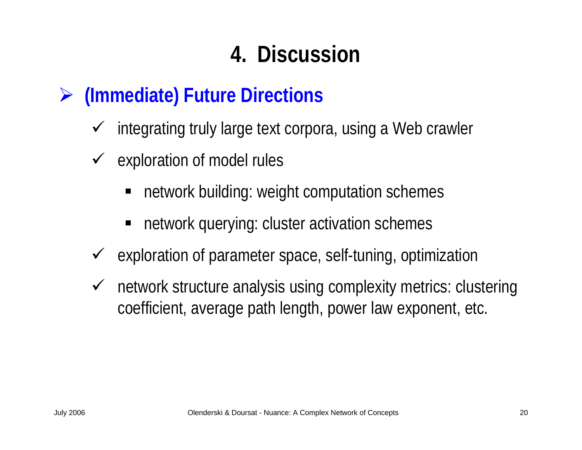## **4. Discussion**

#### ¾**(Immediate) Future Directions**

- $\checkmark$ integrating truly large text corpora, using a Web crawler
- $\checkmark$  exploration of model rules
	- ٠ network building: weight computation schemes
	- ٠ network querying: cluster activation schemes
- $\checkmark$ exploration of parameter space, self-tuning, optimization
- $\checkmark$  network structure analysis using complexity metrics: clustering coefficient, average path length, power law exponent, etc.